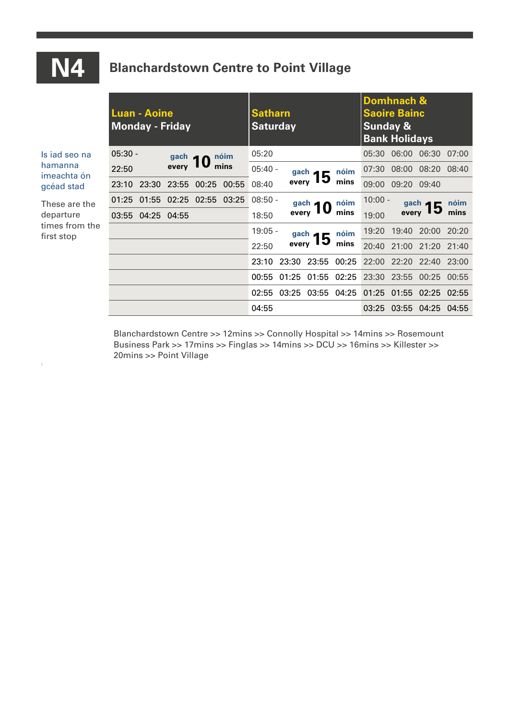## **N4 Blanchardstown Centre to Point Village**

|                                                            | <b>Monday - Friday</b> | Luan - Aoine      |                      |                        |             | <b>Satharn</b><br><b>Saturday</b> |                              |              |       | Domhnach &<br><b>Saoire Bainc</b><br><b>Sunday &amp;</b><br><b>Bank Holidays</b> |                   |                                                 |       |
|------------------------------------------------------------|------------------------|-------------------|----------------------|------------------------|-------------|-----------------------------------|------------------------------|--------------|-------|----------------------------------------------------------------------------------|-------------------|-------------------------------------------------|-------|
| Is jad seo na<br>hamanna<br>imeachta ón<br>gcéad stad      | 05:30 -                |                   |                      | nóim<br>gach $\bigcap$ |             | 05:20                             |                              |              |       | 05:30                                                                            | 06:00             | 06:30 07:00                                     |       |
|                                                            | 22:50                  |                   | every $\blacksquare$ | mins                   |             | $05:40 -$                         | $_{\rm every}^{\rm gach}$ 15 | nóim         | 07:30 |                                                                                  | 08:00 08:20 08:40 |                                                 |       |
|                                                            | 23:10                  | 23:30             | 23:55                |                        | 00:25 00:55 | 08:40                             |                              | mins         | 09:00 | 09:20                                                                            | 09:40             |                                                 |       |
| These are the<br>departure<br>times from the<br>first stop | 01:25                  | 01:55             |                      | 02:25 02:55 03:25      |             | $08:50 -$                         |                              |              | nóim  | $10:00 -$                                                                        |                   | nóim<br>$_{\rm every}^{\rm gach}$ 15            |       |
|                                                            |                        | 03:55 04:25 04:55 |                      |                        |             | 18:50                             | $_{\rm every}^{\rm gach}$ 10 |              | mins  | 19:00                                                                            |                   | mins                                            |       |
|                                                            |                        |                   |                      |                        |             | $19:05 -$                         | gach $\blacksquare$          | nóim<br>mins | 19:20 | 19:40                                                                            | 20:00             | 20:20                                           |       |
|                                                            |                        |                   |                      |                        |             | 22:50                             | every 15                     |              | 20:40 |                                                                                  | 21:00 21:20 21:40 |                                                 |       |
|                                                            |                        |                   |                      |                        |             | 23:10                             | 23:30                        | 23:55        | 00:25 | 22:00                                                                            | 22:20             | 22:40 23:00                                     |       |
|                                                            |                        |                   |                      |                        |             | 00:55                             | 01:25                        | 01:55 02:25  |       | 23:30                                                                            | 23:55             | 00:25                                           | 00:55 |
|                                                            |                        |                   |                      |                        |             |                                   |                              |              |       |                                                                                  |                   | 02:55 03:25 03:55 04:25 01:25 01:55 02:25 02:55 |       |
|                                                            |                        |                   |                      |                        |             | 04:55                             |                              |              |       |                                                                                  |                   | 03:25 03:55 04:25 04:55                         |       |

Blanchardstown Centre >> 12mins >> Connolly Hospital >> 14mins >> Rosemount Business Park >> 17mins >> Finglas >> 14mins >> DCU >> 16mins >> Killester >> 20mins >> Point Village